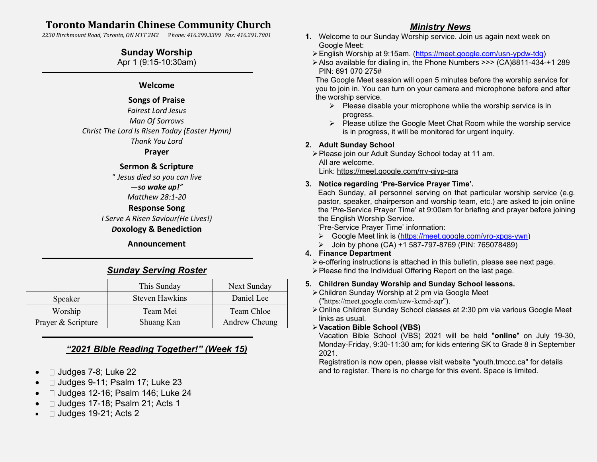# **Toronto Mandarin Chinese Community Church**

*2230 Birchmount Road, Toronto, ON M1T 2M2* P*hone: 416.299.3399 Fax: 416.291.7001*

## **Sunday Worship**

Apr 1 (9:15-10:30am)

## **Welcome**

## **Songs of Praise**

*Fairest Lord Jesus Man Of Sorrows Christ The Lord Is Risen Today (Easter Hymn) Thank You Lord*

#### **Prayer**

## **Sermon & Scripture**

*" Jesus died so you can live —so wake up!" Matthew 28:1-20*

## **Response Song**

*I Serve A Risen Saviour(He Lives!)*

#### *D***oxology & Benediction**

**Announcement** ֦

## *Sunday Serving Roster*

|                    | This Sunday    | Next Sunday   |
|--------------------|----------------|---------------|
| Speaker            | Steven Hawkins | Daniel Lee    |
| Worship            | Team Mei       | Team Chloe    |
| Prayer & Scripture | Shuang Kan     | Andrew Cheung |

## *"2021 Bible Reading Together!" (Week 15)*

- $\bullet$   $\Box$  Judges 7-8; Luke 22
- □ Judges 9-11; Psalm 17; Luke 23
- □ Judges 12-16; Psalm 146; Luke 24
- $\Box$  Judges 17-18; Psalm 21; Acts 1
- $\Box$  Judges 19-21; Acts 2

## *Ministry News*

- **1.** Welcome to our Sunday Worship service. Join us again next week on Google Meet:
	- ➢English Worship at 9:15am. [\(https://meet.google.com/usn-ypdw-tdq\)](https://meet.google.com/usn-ypdw-tdq)
	- ➢Also available for dialing in, the Phone Numbers >>> (CA)8811-434-+1 289 PIN: 691 070 275#

The Google Meet session will open 5 minutes before the worship service for you to join in. You can turn on your camera and microphone before and after the worship service.

- $\triangleright$  Please disable your microphone while the worship service is in progress.
- ➢ Please utilize the Google Meet Chat Room while the worship service is in progress, it will be monitored for urgent inquiry.

#### **2. Adult Sunday School**

➢Please join our Adult Sunday School today at 11 am. All are welcome.

Link:<https://meet.google.com/rrv-gjyp-gra>

## **3. Notice regarding 'Pre-Service Prayer Time'.**

Each Sunday, all personnel serving on that particular worship service (e.g. pastor, speaker, chairperson and worship team, etc.) are asked to join online the 'Pre-Service Prayer Time' at 9:00am for briefing and prayer before joining the English Worship Service.

'Pre-Service Prayer Time' information:

- ➢ Google Meet link is [\(https://meet.google.com/vro-xpgs-ywn\)](https://meet.google.com/vro-xpgs-ywn)
- ➢ Join by phone (CA) +1 587-797-8769 (PIN: 765078489)

## **4. Finance Department**

- ➢e-offering instructions is attached in this bulletin, please see next page.
- ➢Please find the Individual Offering Report on the last page.

## **5. Children Sunday Worship and Sunday School lessons.**

- ➢Children Sunday Worship at 2 pm via Google Meet ("<https://meet.google.com/uzw-kcmd-zqr>").
- ➢Online Children Sunday School classes at 2:30 pm via various Google Meet links as usual.
- ➢**Vacation Bible School (VBS)**

Vacation Bible School (VBS) 2021 will be held "**online**" on July 19-30, Monday-Friday, 9:30-11:30 am; for kids entering SK to Grade 8 in September 2021.

Registration is now open, please visit website "youth.tmccc.ca" for details and to register. There is no charge for this event. Space is limited.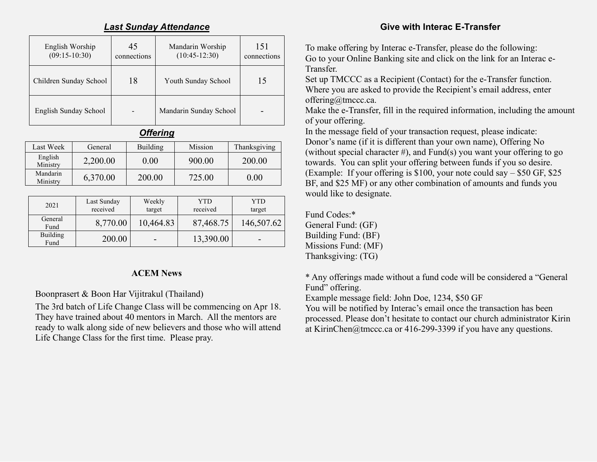## *Last Sunday Attendance*

| English Worship<br>$(09:15-10:30)$ | 45<br>connections | Mandarin Worship<br>$(10:45-12:30)$ | 151<br>connections |
|------------------------------------|-------------------|-------------------------------------|--------------------|
| Children Sunday School             | 18                | Youth Sunday School                 | 15                 |
| English Sunday School              |                   | Mandarin Sunday School              |                    |

*Offering*

| Last Week            | General  | Building          | Mission | Thanksgiving |
|----------------------|----------|-------------------|---------|--------------|
| English<br>Ministry  | 2,200.00 | 0.00 <sub>1</sub> | 900.00  | 200.00       |
| Mandarin<br>Ministry | 6,370.00 | 200.00            | 725.00  | $0.00\,$     |

| 2021                    | Last Sunday<br>received | Weekly<br>target | <b>YTD</b><br>received | <b>YTD</b><br>target |
|-------------------------|-------------------------|------------------|------------------------|----------------------|
| General<br>Fund         | 8,770.00                | 10,464.83        | 87,468.75              | 146,507.62           |
| <b>Building</b><br>Fund | 200.00                  |                  | 13,390.00              | -                    |

## **ACEM News**

Boonprasert & Boon Har Vijitrakul (Thailand)

The 3rd batch of Life Change Class will be commencing on Apr 18. They have trained about 40 mentors in March. All the mentors are ready to walk along side of new believers and those who will attend Life Change Class for the first time. Please pray.

# **Give with Interac E-Transfer**

To make offering by Interac e-Transfer, please do the following: Go to your Online Banking site and click on the link for an Interac e-Transfer.

Set up TMCCC as a Recipient (Contact) for the e-Transfer function. Where you are asked to provide the Recipient's email address, enter offering@tmccc.ca.

Make the e-Transfer, fill in the required information, including the amount of your offering.

In the message field of your transaction request, please indicate: Donor's name (if it is different than your own name), Offering No (without special character  $\#$ ), and Fund(s) you want your offering to go towards. You can split your offering between funds if you so desire. (Example: If your offering is \$100, your note could say – \$50 GF, \$25 BF, and \$25 MF) or any other combination of amounts and funds you would like to designate.

Fund Codes:\* General Fund: (GF) Building Fund: (BF) Missions Fund: (MF) Thanksgiving: (TG)

\* Any offerings made without a fund code will be considered a "General Fund" offering.

Example message field: John Doe, 1234, \$50 GF

You will be notified by Interac's email once the transaction has been processed. Please don't hesitate to contact our church administrator Kirin at KirinChen@tmccc.ca or 416-299-3399 if you have any questions.